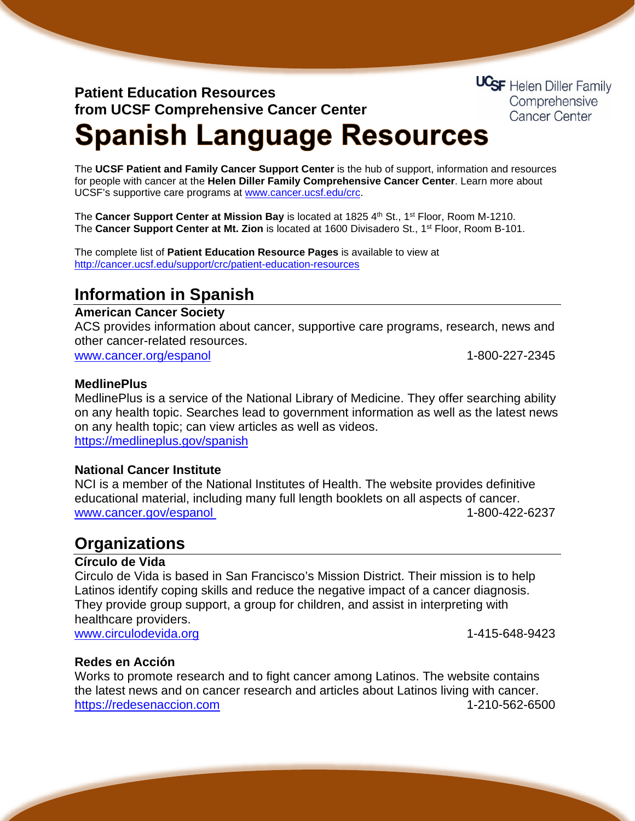## **Patient Education Resources from UCSF Comprehensive Cancer Center**

**UCSF** Helen Diller Family Comprehensive **Cancer Center** 

# **Spanish Language Resources**

The **UCSF Patient and Family Cancer Support Center** is the hub of support, information and resources for people with cancer at the **Helen Diller Family Comprehensive Cancer Center**. Learn more about UCSF's supportive care programs at [www.cancer.ucsf.edu/crc.](http://www.cancer.ucsf.edu/crc)

The **Cancer Support Center at Mission Bay** is located at 1825 4th St., 1<sup>st</sup> Floor, Room M-1210. The **Cancer Support Center at Mt. Zion** is located at 1600 Divisadero St., 1st Floor, Room B-101.

The complete list of **Patient Education Resource Pages** is available to view at <http://cancer.ucsf.edu/support/crc/patient-education-resources>

## **Information in Spanish**

#### **American Cancer Society**

ACS provides information about cancer, supportive care programs, research, news and other cancer-related resources.

[www.cancer.org/espanol](http://www.cancer.org/espanol) intervention of the control of the 1-800-227-2345

#### **MedlinePlus**

MedlinePlus is a service of the National Library of Medicine. They offer searching ability on any health topic. Searches lead to government information as well as the latest news on any health topic; can view articles as well as videos. <https://medlineplus.gov/spanish>

#### **National Cancer Institute**

NCI is a member of the National Institutes of Health. The website provides definitive educational material, including many full length booklets on all aspects of cancer. [www.cancer.gov/espanol](http://www.cancer.gov/espanol) intervention of the 1-800-422-6237

### **Organizations**

#### **Círculo de Vida**

Circulo de Vida is based in San Francisco's Mission District. Their mission is to help Latinos identify coping skills and reduce the negative impact of a cancer diagnosis. They provide group support, a group for children, and assist in interpreting with healthcare providers. [www.circulodevida.org](http://www.circulodevida.org/) 1-415-648-9423

#### **Redes en Acción**

Works to promote research and to fight cancer among Latinos. The website contains the latest news and on cancer research and articles about Latinos living with cancer. [https://redesenaccion.com](https://redesenaccion.com/) 1-210-562-6500